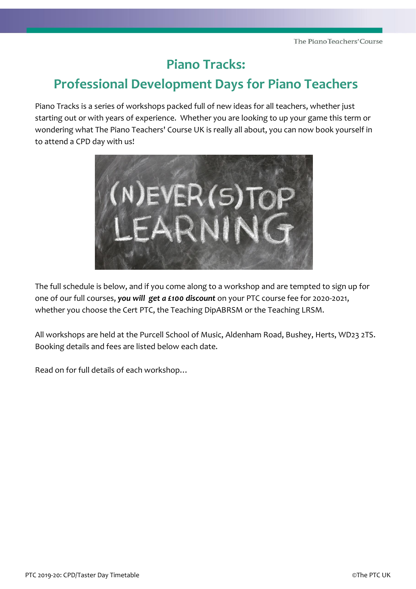# **Piano Tracks:**

# **Professional Development Days for Piano Teachers**

Piano Tracks is a series of workshops packed full of new ideas for all teachers, whether just starting out or with years of experience. Whether you are looking to up your game this term or wondering what The Piano Teachers' Course UK is really all about, you can now book yourself in to attend a CPD day with us!



The full schedule is below, and if you come along to a workshop and are tempted to sign up for one of our full courses, *you will get a £100 discount* on your PTC course fee for 2020-2021, whether you choose the Cert PTC, the Teaching DipABRSM or the Teaching LRSM.

All workshops are held at the Purcell School of Music, Aldenham Road, Bushey, Herts, WD23 2TS. Booking details and fees are listed below each date.

Read on for full details of each workshop…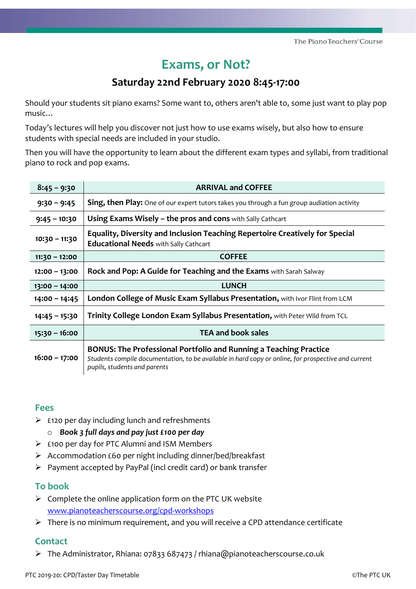# **Exams, or Not?**

## **Saturday 22nd February 2020 8:45-17:00**

Should your students sit piano exams? Some want to, others aren't able to, some just want to play pop music…

Today's lectures will help you discover not just how to use exams wisely, but also how to ensure students with special needs are included in your studio.

Then you will have the opportunity to learn about the different exam types and syllabi, from traditional piano to rock and pop exams.

| $8:45 - 9:30$   | <b>ARRIVAL and COFFEE</b>                                                                                                                                                                                       |
|-----------------|-----------------------------------------------------------------------------------------------------------------------------------------------------------------------------------------------------------------|
| $9:30 - 9:45$   | <b>Sing, then Play:</b> One of our expert tutors takes you through a fun group audiation activity                                                                                                               |
| $9:45 - 10:30$  | <b>Using Exams Wisely – the pros and cons</b> with Sally Cathcart                                                                                                                                               |
| $10:30 - 11:30$ | Equality, Diversity and Inclusion Teaching Repertoire Creatively for Special<br><b>Educational Needs with Sally Cathcart</b>                                                                                    |
| $11:30 - 12:00$ | <b>COFFEE</b>                                                                                                                                                                                                   |
| $12:00 - 13:00$ | Rock and Pop: A Guide for Teaching and the Exams with Sarah Salway                                                                                                                                              |
| $13:00 - 14:00$ | <b>LUNCH</b>                                                                                                                                                                                                    |
| $14:00 - 14:45$ | London College of Music Exam Syllabus Presentation, with Ivor Flint from LCM                                                                                                                                    |
| $14:45 - 15:30$ | Trinity College London Exam Syllabus Presentation, with Peter Wild from TCL                                                                                                                                     |
| $15:30 - 16:00$ | <b>TEA and book sales</b>                                                                                                                                                                                       |
| $16:00 - 17:00$ | <b>BONUS: The Professional Portfolio and Running a Teaching Practice</b><br>Students compile documentation, to be available in hard copy or online, for prospective and current<br>pupils, students and parents |

## **Fees**

- $\triangleright$  £120 per day including lunch and refreshments
	- o *Book 3 full days and pay just £100 per day*
- ➢ £100 per day for PTC Alumni and ISM Members
- ➢ Accommodation £60 per night including dinner/bed/breakfast
- ➢ Payment accepted by PayPal (incl credit card) or bank transfer

### **To book**

- $\triangleright$  Complete the online application form on the PTC UK website [www.pianoteacherscourse.org/cpd-workshops](http://www.pianoteacherscourse.org/cpd-workshops)
- $\triangleright$  There is no minimum requirement, and you will receive a CPD attendance certificate

## **Contact**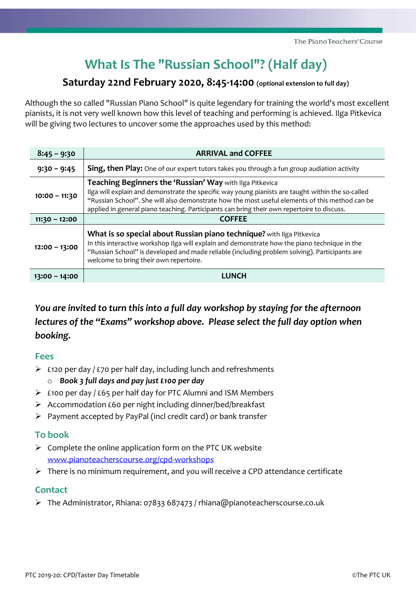# **What Is The "Russian School"? (Half day)**

## **Saturday 22nd February 2020, 8:45-14:00 (optional extension to full day)**

Although the so called "Russian Piano School" is quite legendary for training the world's most excellent pianists, it is not very well known how this level of teaching and performing is achieved. Ilga Pitkevica will be giving two lectures to uncover some the approaches used by this method:

| $8:45 - 9:30$   | <b>ARRIVAL and COFFEE</b>                                                                                                                                                                                                                                                                                                                                     |
|-----------------|---------------------------------------------------------------------------------------------------------------------------------------------------------------------------------------------------------------------------------------------------------------------------------------------------------------------------------------------------------------|
| $9:30 - 9:45$   | <b>Sing, then Play:</b> One of our expert tutors takes you through a fun group audiation activity                                                                                                                                                                                                                                                             |
| $10:00 - 11:30$ | Teaching Beginners the 'Russian' Way with Ilga Pitkevica<br>Ilga will explain and demonstrate the specific way young pianists are taught within the so-called<br>"Russian School". She will also demonstrate how the most useful elements of this method can be<br>applied in general piano teaching. Participants can bring their own repertoire to discuss. |
| $11:30 - 12:00$ | <b>COFFEE</b>                                                                                                                                                                                                                                                                                                                                                 |
| $12:00 - 13:00$ | What is so special about Russian piano technique? with Ilga Pitkevica<br>In this interactive workshop Ilga will explain and demonstrate how the piano technique in the<br>"Russian School" is developed and made reliable (including problem solving). Participants are<br>welcome to bring their own repertoire.                                             |
| 13:00 - 14:00   | LUNCH                                                                                                                                                                                                                                                                                                                                                         |

*You are invited to turn this into a full day workshop by staying for the afternoon lectures of the "Exams" workshop above. Please select the full day option when booking.*

### **Fees**

- $\triangleright$  £120 per day / £70 per half day, including lunch and refreshments
	- o *Book 3 full days and pay just £100 per day*
- $\triangleright$  £100 per day / £65 per half day for PTC Alumni and ISM Members
- ➢ Accommodation £60 per night including dinner/bed/breakfast
- ➢ Payment accepted by PayPal (incl credit card) or bank transfer

## **To book**

- $\triangleright$  Complete the online application form on the PTC UK website [www.pianoteacherscourse.org/cpd-workshops](http://www.pianoteacherscourse.org/cpd-workshops)
- ➢ There is no minimum requirement, and you will receive a CPD attendance certificate

## **Contact**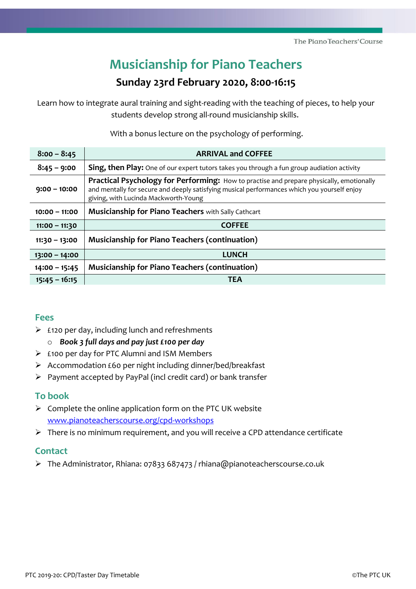# **Musicianship for Piano Teachers**

## **Sunday 23rd February 2020, 8:00-16:15**

Learn how to integrate aural training and sight-reading with the teaching of pieces, to help your students develop strong all-round musicianship skills.

With a bonus lecture on the psychology of performing.

| $8:00 - 8:45$   | <b>ARRIVAL and COFFEE</b>                                                                                                                                                                                                       |
|-----------------|---------------------------------------------------------------------------------------------------------------------------------------------------------------------------------------------------------------------------------|
| $8:45 - 9:00$   | <b>Sing, then Play:</b> One of our expert tutors takes you through a fun group audiation activity                                                                                                                               |
| $9:00 - 10:00$  | Practical Psychology for Performing: How to practise and prepare physically, emotionally<br>and mentally for secure and deeply satisfying musical performances which you yourself enjoy<br>giving, with Lucinda Mackworth-Young |
| $10:00 - 11:00$ | <b>Musicianship for Piano Teachers with Sally Cathcart</b>                                                                                                                                                                      |
|                 |                                                                                                                                                                                                                                 |
| $11:00 - 11:30$ | <b>COFFEE</b>                                                                                                                                                                                                                   |
| $11:30 - 13:00$ | <b>Musicianship for Piano Teachers (continuation)</b>                                                                                                                                                                           |
| $13:00 - 14:00$ | <b>LUNCH</b>                                                                                                                                                                                                                    |
| $14:00 - 15:45$ | <b>Musicianship for Piano Teachers (continuation)</b>                                                                                                                                                                           |

## **Fees**

- $\triangleright$  £120 per day, including lunch and refreshments o *Book 3 full days and pay just £100 per day*
- ➢ £100 per day for PTC Alumni and ISM Members
- ➢ Accommodation £60 per night including dinner/bed/breakfast
- ➢ Payment accepted by PayPal (incl credit card) or bank transfer

## **To book**

- $\triangleright$  Complete the online application form on the PTC UK website [www.pianoteacherscourse.org/cpd-workshops](http://www.pianoteacherscourse.org/cpd-workshops)
- ➢ There is no minimum requirement, and you will receive a CPD attendance certificate

## **Contact**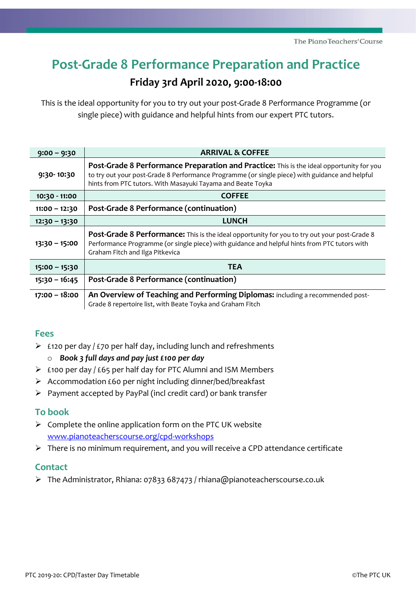# **Post-Grade 8 Performance Preparation and Practice**

## **Friday 3rd April 2020, 9:00-18:00**

This is the ideal opportunity for you to try out your post-Grade 8 Performance Programme (or single piece) with guidance and helpful hints from our expert PTC tutors.

| $9:00 - 9:30$   | <b>ARRIVAL &amp; COFFEE</b>                                                                                                                                                                                                                               |
|-----------------|-----------------------------------------------------------------------------------------------------------------------------------------------------------------------------------------------------------------------------------------------------------|
| 9:30-10:30      | Post-Grade 8 Performance Preparation and Practice: This is the ideal opportunity for you<br>to try out your post-Grade 8 Performance Programme (or single piece) with guidance and helpful<br>hints from PTC tutors. With Masayuki Tayama and Beate Toyka |
| 10:30 - 11:00   | <b>COFFEE</b>                                                                                                                                                                                                                                             |
| $11:00 - 12:30$ | Post-Grade 8 Performance (continuation)                                                                                                                                                                                                                   |
| $12:30 - 13:30$ | <b>LUNCH</b>                                                                                                                                                                                                                                              |
| $13:30 - 15:00$ | Post-Grade 8 Performance: This is the ideal opportunity for you to try out your post-Grade 8<br>Performance Programme (or single piece) with guidance and helpful hints from PTC tutors with<br>Graham Fitch and Ilga Pitkevica                           |
| $15:00 - 15:30$ | <b>TEA</b>                                                                                                                                                                                                                                                |
| $15:30 - 16:45$ | Post-Grade 8 Performance (continuation)                                                                                                                                                                                                                   |
| $17:00 - 18:00$ | An Overview of Teaching and Performing Diplomas: including a recommended post-<br>Grade 8 repertoire list, with Beate Toyka and Graham Fitch                                                                                                              |

### **Fees**

- $\triangleright$  £120 per day / £70 per half day, including lunch and refreshments
	- o *Book 3 full days and pay just £100 per day*
- $\triangleright$  £100 per day / £65 per half day for PTC Alumni and ISM Members
- ➢ Accommodation £60 per night including dinner/bed/breakfast
- ➢ Payment accepted by PayPal (incl credit card) or bank transfer

### **To book**

- $\triangleright$  Complete the online application form on the PTC UK website [www.pianoteacherscourse.org/cpd-workshops](http://www.pianoteacherscourse.org/cpd-workshops)
- ➢ There is no minimum requirement, and you will receive a CPD attendance certificate

## **Contact**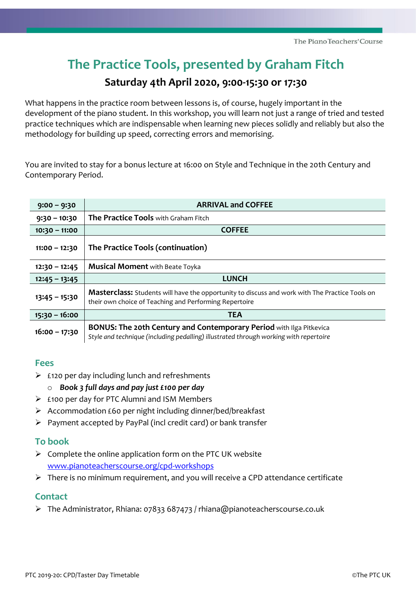# **The Practice Tools, presented by Graham Fitch**

## **Saturday 4th April 2020, 9:00-15:30 or 17:30**

What happens in the practice room between lessons is, of course, hugely important in the development of the piano student. In this workshop, you will learn not just a range of tried and tested practice techniques which are indispensable when learning new pieces solidly and reliably but also the methodology for building up speed, correcting errors and memorising.

You are invited to stay for a bonus lecture at 16:00 on Style and Technique in the 20th Century and Contemporary Period.

| $9:00 - 9:30$   | <b>ARRIVAL and COFFEE</b>                                                                                                                                           |
|-----------------|---------------------------------------------------------------------------------------------------------------------------------------------------------------------|
| $9:30 - 10:30$  | The Practice Tools with Graham Fitch                                                                                                                                |
| $10:30 - 11:00$ | <b>COFFEE</b>                                                                                                                                                       |
| $11:00 - 12:30$ | The Practice Tools (continuation)                                                                                                                                   |
| $12:30 - 12:45$ | <b>Musical Moment with Beate Toyka</b>                                                                                                                              |
| $12:45 - 13:45$ | <b>LUNCH</b>                                                                                                                                                        |
| $13:45 - 15:30$ | <b>Masterclass:</b> Students will have the opportunity to discuss and work with The Practice Tools on<br>their own choice of Teaching and Performing Repertoire     |
| $15:30 - 16:00$ | <b>TEA</b>                                                                                                                                                          |
| $16:00 - 17:30$ | <b>BONUS: The 20th Century and Contemporary Period with Ilga Pitkevica</b><br>Style and technique (including pedalling) illustrated through working with repertoire |

### **Fees**

- $\triangleright$  £120 per day including lunch and refreshments
	- o *Book 3 full days and pay just £100 per day*
- ➢ £100 per day for PTC Alumni and ISM Members
- ➢ Accommodation £60 per night including dinner/bed/breakfast
- ➢ Payment accepted by PayPal (incl credit card) or bank transfer

### **To book**

- $\triangleright$  Complete the online application form on the PTC UK website [www.pianoteacherscourse.org/cpd-workshops](http://www.pianoteacherscourse.org/cpd-workshops)
- $\triangleright$  There is no minimum requirement, and you will receive a CPD attendance certificate

## **Contact**